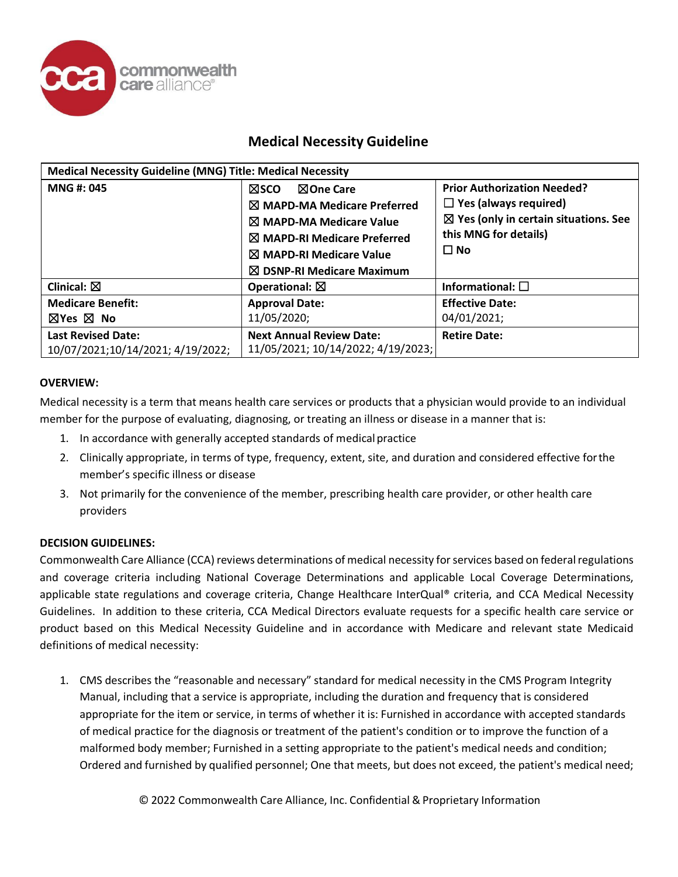

## **Medical Necessity Guideline**

| <b>Medical Necessity Guideline (MNG) Title: Medical Necessity</b> |                                                                                                                                                                                                                                  |                                                                                                                                                              |  |  |
|-------------------------------------------------------------------|----------------------------------------------------------------------------------------------------------------------------------------------------------------------------------------------------------------------------------|--------------------------------------------------------------------------------------------------------------------------------------------------------------|--|--|
| <b>MNG#: 045</b>                                                  | ⊠One Care<br><b>NSCO</b><br>$\boxtimes$ MAPD-MA Medicare Preferred<br>$\boxtimes$ MAPD-MA Medicare Value<br>$\boxtimes$ MAPD-RI Medicare Preferred<br>$\boxtimes$ MAPD-RI Medicare Value<br>$\boxtimes$ DSNP-RI Medicare Maximum | <b>Prior Authorization Needed?</b><br>$\Box$ Yes (always required)<br>$\boxtimes$ Yes (only in certain situations. See<br>this MNG for details)<br>$\Box$ No |  |  |
| Clinical: $\boxtimes$                                             | Operational: $\boxtimes$                                                                                                                                                                                                         | Informational: $\square$                                                                                                                                     |  |  |
| <b>Medicare Benefit:</b><br>$\boxtimes$ Yes $\boxtimes$ No        | <b>Approval Date:</b><br>11/05/2020;                                                                                                                                                                                             | <b>Effective Date:</b><br>04/01/2021;                                                                                                                        |  |  |
| <b>Last Revised Date:</b><br>10/07/2021;10/14/2021; 4/19/2022;    | <b>Next Annual Review Date:</b><br>11/05/2021; 10/14/2022; 4/19/2023;                                                                                                                                                            | <b>Retire Date:</b>                                                                                                                                          |  |  |

#### **OVERVIEW:**

Medical necessity is a term that means health care services or products that a physician would provide to an individual member for the purpose of evaluating, diagnosing, or treating an illness or disease in a manner that is:

- 1. In accordance with generally accepted standards of medicalpractice
- 2. Clinically appropriate, in terms of type, frequency, extent, site, and duration and considered effective forthe member's specific illness or disease
- 3. Not primarily for the convenience of the member, prescribing health care provider, or other health care providers

#### **DECISION GUIDELINES:**

Commonwealth Care Alliance (CCA) reviews determinations of medical necessity for services based on federal regulations and coverage criteria including National Coverage Determinations and applicable Local Coverage Determinations, applicable state regulations and coverage criteria, Change Healthcare InterQual® criteria, and CCA Medical Necessity Guidelines. In addition to these criteria, CCA Medical Directors evaluate requests for a specific health care service or product based on this Medical Necessity Guideline and in accordance with Medicare and relevant state Medicaid definitions of medical necessity:

1. CMS describes the "reasonable and necessary" standard for medical necessity in the CMS Program Integrity Manual, including that a service is appropriate, including the duration and frequency that is considered appropriate for the item or service, in terms of whether it is: Furnished in accordance with accepted standards of medical practice for the diagnosis or treatment of the patient's condition or to improve the function of a malformed body member; Furnished in a setting appropriate to the patient's medical needs and condition; Ordered and furnished by qualified personnel; One that meets, but does not exceed, the patient's medical need;

© 2022 Commonwealth Care Alliance, Inc. Confidential &Proprietary Information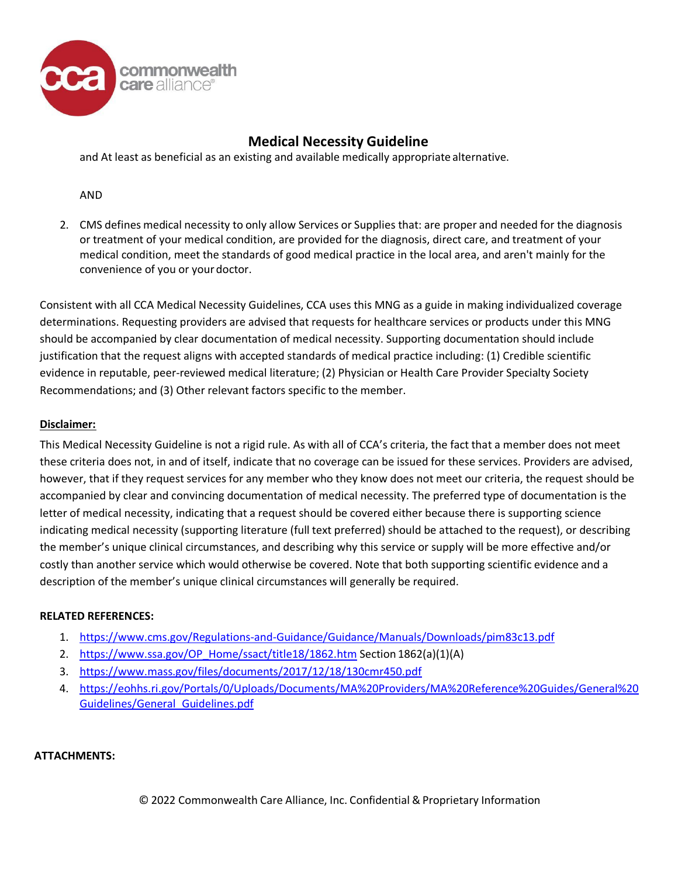

## **Medical Necessity Guideline**

and At least as beneficial as an existing and available medically appropriate alternative.

AND

2. CMS defines medical necessity to only allow Services or Supplies that: are proper and needed for the diagnosis or treatment of your medical condition, are provided for the diagnosis, direct care, and treatment of your medical condition, meet the standards of good medical practice in the local area, and aren't mainly for the convenience of you or your doctor.

Consistent with all CCA Medical Necessity Guidelines, CCA uses this MNG as a guide in making individualized coverage determinations. Requesting providers are advised that requests for healthcare services or products under this MNG should be accompanied by clear documentation of medical necessity. Supporting documentation should include justification that the request aligns with accepted standards of medical practice including: (1) Credible scientific evidence in reputable, peer-reviewed medical literature; (2) Physician or Health Care Provider Specialty Society Recommendations; and (3) Other relevant factors specific to the member.

### **Disclaimer:**

This Medical Necessity Guideline is not a rigid rule. As with all of CCA's criteria, the fact that a member does not meet these criteria does not, in and of itself, indicate that no coverage can be issued for these services. Providers are advised, however, that if they request services for any member who they know does not meet our criteria, the request should be accompanied by clear and convincing documentation of medical necessity. The preferred type of documentation is the letter of medical necessity, indicating that a request should be covered either because there is supporting science indicating medical necessity (supporting literature (full text preferred) should be attached to the request), or describing the member's unique clinical circumstances, and describing why this service or supply will be more effective and/or costly than another service which would otherwise be covered. Note that both supporting scientific evidence and a description of the member's unique clinical circumstances will generally be required.

#### **RELATED REFERENCES:**

- 1. <https://www.cms.gov/Regulations-and-Guidance/Guidance/Manuals/Downloads/pim83c13.pdf>
- 2. [https://www.ssa.gov/OP\\_Home/ssact/title18/1862.htm](https://www.ssa.gov/OP_Home/ssact/title18/1862.htm) Section 1862(a)(1)(A)
- 3. <https://www.mass.gov/files/documents/2017/12/18/130cmr450.pdf>
- 4. [https://eohhs.ri.gov/Portals/0/Uploads/Documents/MA%20Providers/MA%20Reference%20Guides/General%20](https://eohhs.ri.gov/Portals/0/Uploads/Documents/MA%20Providers/MA%20Reference%20Guides/General%20Guidelines/General_Guidelines.pdf) [Guidelines/General\\_Guidelines.pdf](https://eohhs.ri.gov/Portals/0/Uploads/Documents/MA%20Providers/MA%20Reference%20Guides/General%20Guidelines/General_Guidelines.pdf)

#### **ATTACHMENTS:**